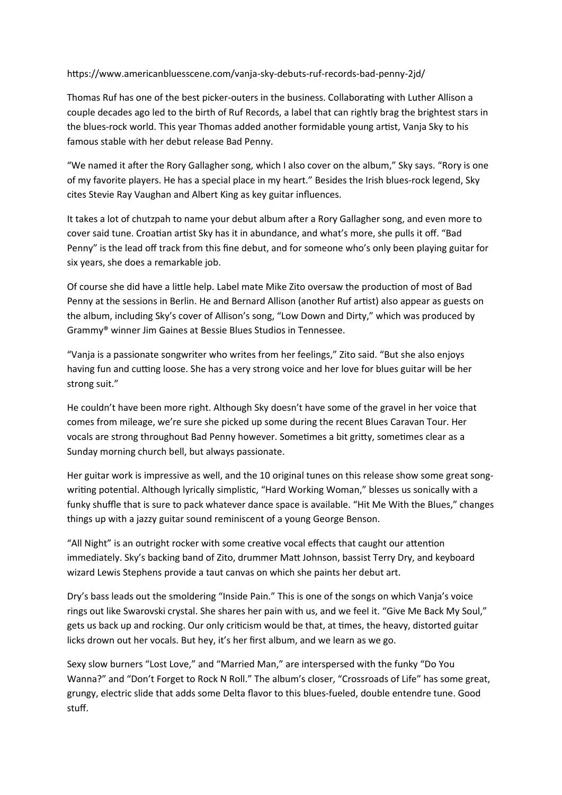## https://www.americanbluesscene.com/vanja-sky-debuts-ruf-records-bad-penny-2jd/

Thomas Ruf has one of the best picker-outers in the business. Collaborating with Luther Allison a couple decades ago led to the birth of Ruf Records, a label that can rightly brag the brightest stars in the blues-rock world. This year Thomas added another formidable young artist, Vanja Sky to his famous stable with her debut release Bad Penny.

"We named it after the Rory Gallagher song, which I also cover on the album," Sky says. "Rory is one of my favorite players. He has a special place in my heart." Besides the Irish blues-rock legend, Sky cites Stevie Ray Vaughan and Albert King as key guitar influences.

It takes a lot of chutzpah to name your debut album after a Rory Gallagher song, and even more to cover said tune. Croatian artist Sky has it in abundance, and what's more, she pulls it off. "Bad Penny" is the lead off track from this fine debut, and for someone who's only been playing guitar for six years, she does a remarkable job.

Of course she did have a little help. Label mate Mike Zito oversaw the production of most of Bad Penny at the sessions in Berlin. He and Bernard Allison (another Ruf artist) also appear as guests on the album, including Sky's cover of Allison's song, "Low Down and Dirty," which was produced by Grammy® winner Jim Gaines at Bessie Blues Studios in Tennessee.

"Vanja is a passionate songwriter who writes from her feelings," Zito said. "But she also enjoys having fun and cutting loose. She has a very strong voice and her love for blues guitar will be her strong suit."

He couldn't have been more right. Although Sky doesn't have some of the gravel in her voice that comes from mileage, we're sure she picked up some during the recent Blues Caravan Tour. Her vocals are strong throughout Bad Penny however. Sometimes a bit gritty, sometimes clear as a Sunday morning church bell, but always passionate.

Her guitar work is impressive as well, and the 10 original tunes on this release show some great songwriting potential. Although lyrically simplistic, "Hard Working Woman," blesses us sonically with a funky shuffle that is sure to pack whatever dance space is available. "Hit Me With the Blues," changes things up with a jazzy guitar sound reminiscent of a young George Benson.

"All Night" is an outright rocker with some creative vocal effects that caught our attention immediately. Sky's backing band of Zito, drummer Matt Johnson, bassist Terry Dry, and keyboard wizard Lewis Stephens provide a taut canvas on which she paints her debut art.

Dry's bass leads out the smoldering "Inside Pain." This is one of the songs on which Vanja's voice rings out like Swarovski crystal. She shares her pain with us, and we feel it. "Give Me Back My Soul," gets us back up and rocking. Our only criticism would be that, at times, the heavy, distorted guitar licks drown out her vocals. But hey, it's her first album, and we learn as we go.

Sexy slow burners "Lost Love," and "Married Man," are interspersed with the funky "Do You Wanna?" and "Don't Forget to Rock N Roll." The album's closer, "Crossroads of Life" has some great, grungy, electric slide that adds some Delta flavor to this blues-fueled, double entendre tune. Good stuff.